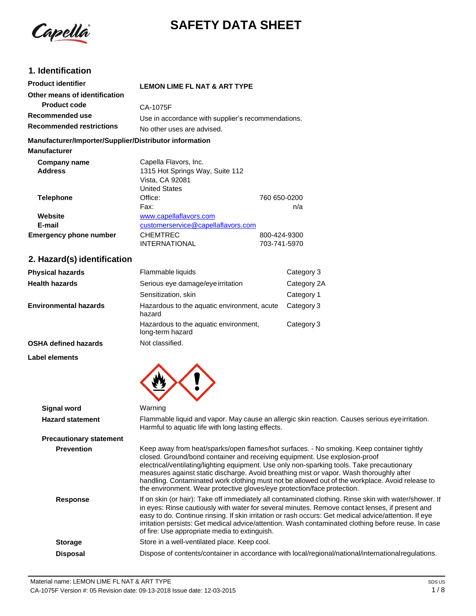

# **SAFETY DATA SHEET**

### **1. Identification**

| <b>Product identifier</b>                              | <b>LEMON LIME FL NAT &amp; ART TYPE</b>            |              |
|--------------------------------------------------------|----------------------------------------------------|--------------|
| Other means of identification                          |                                                    |              |
| <b>Product code</b>                                    | CA-1075F                                           |              |
| Recommended use                                        | Use in accordance with supplier's recommendations. |              |
| <b>Recommended restrictions</b>                        | No other uses are advised.                         |              |
| Manufacturer/Importer/Supplier/Distributor information |                                                    |              |
| <b>Manufacturer</b>                                    |                                                    |              |
| Company name                                           | Capella Flavors, Inc.                              |              |
| <b>Address</b>                                         | 1315 Hot Springs Way, Suite 112                    |              |
|                                                        | Vista, CA 92081                                    |              |
|                                                        | <b>United States</b>                               |              |
| <b>Telephone</b>                                       | Office:                                            | 760 650-0200 |
|                                                        | Fax:                                               | n/a          |

| Website                | www.capellaflavors.com             |              |
|------------------------|------------------------------------|--------------|
| E-mail                 | customerservice@capellaflavors.com |              |
| Emergency phone number | <b>CHEMTREC</b>                    | 800-424-9300 |
|                        | <b>INTERNATIONAL</b>               | 703-741-5970 |

### **2. Hazard(s) identification**

| <b>Physical hazards</b>      | Flammable liquids                                         | Category 3  |
|------------------------------|-----------------------------------------------------------|-------------|
| <b>Health hazards</b>        | Serious eye damage/eye irritation                         | Category 2A |
|                              | Sensitization, skin                                       | Category 1  |
| <b>Environmental hazards</b> | Hazardous to the aquatic environment, acute<br>hazard     | Category 3  |
|                              | Hazardous to the aquatic environment,<br>long-term hazard | Category 3  |
| <b>OSHA defined hazards</b>  | Not classified.                                           |             |

#### **Label elements**

| <b>Signal word</b>             | Warning                                                                                                                                                                                                                                                                                                                                                                                                                                                                                                                                        |
|--------------------------------|------------------------------------------------------------------------------------------------------------------------------------------------------------------------------------------------------------------------------------------------------------------------------------------------------------------------------------------------------------------------------------------------------------------------------------------------------------------------------------------------------------------------------------------------|
| <b>Hazard statement</b>        | Flammable liquid and vapor. May cause an allergic skin reaction. Causes serious eye irritation.<br>Harmful to aquatic life with long lasting effects.                                                                                                                                                                                                                                                                                                                                                                                          |
| <b>Precautionary statement</b> |                                                                                                                                                                                                                                                                                                                                                                                                                                                                                                                                                |
| <b>Prevention</b>              | Keep away from heat/sparks/open flames/hot surfaces. - No smoking. Keep container tightly<br>closed. Ground/bond container and receiving equipment. Use explosion-proof<br>electrical/ventilating/lighting equipment. Use only non-sparking tools. Take precautionary<br>measures against static discharge. Avoid breathing mist or vapor. Wash thoroughly after<br>handling. Contaminated work clothing must not be allowed out of the workplace. Avoid release to<br>the environment. Wear protective gloves/eye protection/face protection. |
| <b>Response</b>                | If on skin (or hair): Take off immediately all contaminated clothing. Rinse skin with water/shower. If<br>in eyes: Rinse cautiously with water for several minutes. Remove contact lenses, if present and<br>easy to do. Continue rinsing. If skin irritation or rash occurs: Get medical advice/attention. If eye<br>irritation persists: Get medical advice/attention. Wash contaminated clothing before reuse. In case<br>of fire: Use appropriate media to extinguish.                                                                     |
| <b>Storage</b>                 | Store in a well-ventilated place. Keep cool.                                                                                                                                                                                                                                                                                                                                                                                                                                                                                                   |
| <b>Disposal</b>                | Dispose of contents/container in accordance with local/regional/national/internationalregulations.                                                                                                                                                                                                                                                                                                                                                                                                                                             |
|                                |                                                                                                                                                                                                                                                                                                                                                                                                                                                                                                                                                |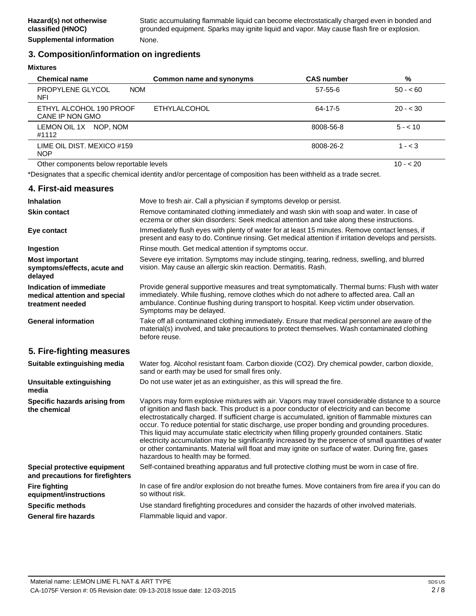#### **3. Composition/information on ingredients**

**Mixtures**

| <b>Chemical name</b>                       | Common name and synonyms | <b>CAS number</b> | %         |
|--------------------------------------------|--------------------------|-------------------|-----------|
| PROPYLENE GLYCOL<br><b>NOM</b><br>NFI      |                          | $57-55-6$         | $50 - 60$ |
| ETHYL ALCOHOL 190 PROOF<br>CANE IP NON GMO | <b>ETHYLALCOHOL</b>      | 64-17-5           | $20 - 30$ |
| LEMON OIL 1X<br>NOP. NOM<br>#1112          |                          | 8008-56-8         | $5 - 10$  |
| LIME OIL DIST. MEXICO #159<br><b>NOP</b>   |                          | 8008-26-2         | $1 - < 3$ |
| Other components below reportable levels   |                          |                   | $10 - 20$ |

\*Designates that a specific chemical identity and/or percentage of composition has been withheld as a trade secret.

#### **4. First-aid measures**

| <b>Inhalation</b>                                                            | Move to fresh air. Call a physician if symptoms develop or persist.                                                                                                                                                                                                                                                                                                                                                                                                                                                                                                                                                                                                                                                                                         |
|------------------------------------------------------------------------------|-------------------------------------------------------------------------------------------------------------------------------------------------------------------------------------------------------------------------------------------------------------------------------------------------------------------------------------------------------------------------------------------------------------------------------------------------------------------------------------------------------------------------------------------------------------------------------------------------------------------------------------------------------------------------------------------------------------------------------------------------------------|
| <b>Skin contact</b>                                                          | Remove contaminated clothing immediately and wash skin with soap and water. In case of<br>eczema or other skin disorders: Seek medical attention and take along these instructions.                                                                                                                                                                                                                                                                                                                                                                                                                                                                                                                                                                         |
| Eye contact                                                                  | Immediately flush eyes with plenty of water for at least 15 minutes. Remove contact lenses, if<br>present and easy to do. Continue rinsing. Get medical attention if irritation develops and persists.                                                                                                                                                                                                                                                                                                                                                                                                                                                                                                                                                      |
| Ingestion                                                                    | Rinse mouth. Get medical attention if symptoms occur.                                                                                                                                                                                                                                                                                                                                                                                                                                                                                                                                                                                                                                                                                                       |
| <b>Most important</b><br>symptoms/effects, acute and<br>delayed              | Severe eye irritation. Symptoms may include stinging, tearing, redness, swelling, and blurred<br>vision. May cause an allergic skin reaction. Dermatitis. Rash.                                                                                                                                                                                                                                                                                                                                                                                                                                                                                                                                                                                             |
| Indication of immediate<br>medical attention and special<br>treatment needed | Provide general supportive measures and treat symptomatically. Thermal burns: Flush with water<br>immediately. While flushing, remove clothes which do not adhere to affected area. Call an<br>ambulance. Continue flushing during transport to hospital. Keep victim under observation.<br>Symptoms may be delayed.                                                                                                                                                                                                                                                                                                                                                                                                                                        |
| <b>General information</b>                                                   | Take off all contaminated clothing immediately. Ensure that medical personnel are aware of the<br>material(s) involved, and take precautions to protect themselves. Wash contaminated clothing<br>before reuse.                                                                                                                                                                                                                                                                                                                                                                                                                                                                                                                                             |
| 5. Fire-fighting measures                                                    |                                                                                                                                                                                                                                                                                                                                                                                                                                                                                                                                                                                                                                                                                                                                                             |
| Suitable extinguishing media                                                 | Water fog. Alcohol resistant foam. Carbon dioxide (CO2). Dry chemical powder, carbon dioxide,<br>sand or earth may be used for small fires only.                                                                                                                                                                                                                                                                                                                                                                                                                                                                                                                                                                                                            |
| Unsuitable extinguishing<br>media                                            | Do not use water jet as an extinguisher, as this will spread the fire.                                                                                                                                                                                                                                                                                                                                                                                                                                                                                                                                                                                                                                                                                      |
| Specific hazards arising from<br>the chemical                                | Vapors may form explosive mixtures with air. Vapors may travel considerable distance to a source<br>of ignition and flash back. This product is a poor conductor of electricity and can become<br>electrostatically charged. If sufficient charge is accumulated, ignition of flammable mixtures can<br>occur. To reduce potential for static discharge, use proper bonding and grounding procedures.<br>This liquid may accumulate static electricity when filling properly grounded containers. Static<br>electricity accumulation may be significantly increased by the presence of small quantities of water<br>or other contaminants. Material will float and may ignite on surface of water. During fire, gases<br>hazardous to health may be formed. |
| Special protective equipment<br>and precautions for firefighters             | Self-contained breathing apparatus and full protective clothing must be worn in case of fire.                                                                                                                                                                                                                                                                                                                                                                                                                                                                                                                                                                                                                                                               |
| <b>Fire fighting</b><br>equipment/instructions                               | In case of fire and/or explosion do not breathe fumes. Move containers from fire area if you can do<br>so without risk.                                                                                                                                                                                                                                                                                                                                                                                                                                                                                                                                                                                                                                     |
| <b>Specific methods</b>                                                      | Use standard firefighting procedures and consider the hazards of other involved materials.                                                                                                                                                                                                                                                                                                                                                                                                                                                                                                                                                                                                                                                                  |
| <b>General fire hazards</b>                                                  | Flammable liquid and vapor.                                                                                                                                                                                                                                                                                                                                                                                                                                                                                                                                                                                                                                                                                                                                 |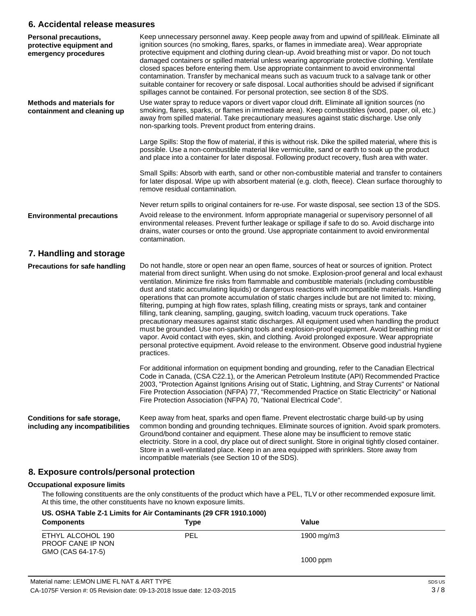#### **6. Accidental release measures**

| <b>Personal precautions,</b><br>protective equipment and<br>emergency procedures | Keep unnecessary personnel away. Keep people away from and upwind of spill/leak. Eliminate all<br>ignition sources (no smoking, flares, sparks, or flames in immediate area). Wear appropriate<br>protective equipment and clothing during clean-up. Avoid breathing mist or vapor. Do not touch<br>damaged containers or spilled material unless wearing appropriate protective clothing. Ventilate<br>closed spaces before entering them. Use appropriate containment to avoid environmental<br>contamination. Transfer by mechanical means such as vacuum truck to a salvage tank or other<br>suitable container for recovery or safe disposal. Local authorities should be advised if significant<br>spillages cannot be contained. For personal protection, see section 8 of the SDS.                                                                                                                                                                                                                                                                                                                                                        |
|----------------------------------------------------------------------------------|---------------------------------------------------------------------------------------------------------------------------------------------------------------------------------------------------------------------------------------------------------------------------------------------------------------------------------------------------------------------------------------------------------------------------------------------------------------------------------------------------------------------------------------------------------------------------------------------------------------------------------------------------------------------------------------------------------------------------------------------------------------------------------------------------------------------------------------------------------------------------------------------------------------------------------------------------------------------------------------------------------------------------------------------------------------------------------------------------------------------------------------------------|
| <b>Methods and materials for</b><br>containment and cleaning up                  | Use water spray to reduce vapors or divert vapor cloud drift. Eliminate all ignition sources (no<br>smoking, flares, sparks, or flames in immediate area). Keep combustibles (wood, paper, oil, etc.)<br>away from spilled material. Take precautionary measures against static discharge. Use only<br>non-sparking tools. Prevent product from entering drains.                                                                                                                                                                                                                                                                                                                                                                                                                                                                                                                                                                                                                                                                                                                                                                                  |
|                                                                                  | Large Spills: Stop the flow of material, if this is without risk. Dike the spilled material, where this is<br>possible. Use a non-combustible material like vermiculite, sand or earth to soak up the product<br>and place into a container for later disposal. Following product recovery, flush area with water.                                                                                                                                                                                                                                                                                                                                                                                                                                                                                                                                                                                                                                                                                                                                                                                                                                |
|                                                                                  | Small Spills: Absorb with earth, sand or other non-combustible material and transfer to containers<br>for later disposal. Wipe up with absorbent material (e.g. cloth, fleece). Clean surface thoroughly to<br>remove residual contamination.                                                                                                                                                                                                                                                                                                                                                                                                                                                                                                                                                                                                                                                                                                                                                                                                                                                                                                     |
|                                                                                  | Never return spills to original containers for re-use. For waste disposal, see section 13 of the SDS.                                                                                                                                                                                                                                                                                                                                                                                                                                                                                                                                                                                                                                                                                                                                                                                                                                                                                                                                                                                                                                             |
| <b>Environmental precautions</b>                                                 | Avoid release to the environment. Inform appropriate managerial or supervisory personnel of all<br>environmental releases. Prevent further leakage or spillage if safe to do so. Avoid discharge into<br>drains, water courses or onto the ground. Use appropriate containment to avoid environmental<br>contamination.                                                                                                                                                                                                                                                                                                                                                                                                                                                                                                                                                                                                                                                                                                                                                                                                                           |
| 7. Handling and storage                                                          |                                                                                                                                                                                                                                                                                                                                                                                                                                                                                                                                                                                                                                                                                                                                                                                                                                                                                                                                                                                                                                                                                                                                                   |
| <b>Precautions for safe handling</b>                                             | Do not handle, store or open near an open flame, sources of heat or sources of ignition. Protect<br>material from direct sunlight. When using do not smoke. Explosion-proof general and local exhaust<br>ventilation. Minimize fire risks from flammable and combustible materials (including combustible<br>dust and static accumulating liquids) or dangerous reactions with incompatible materials. Handling<br>operations that can promote accumulation of static charges include but are not limited to: mixing,<br>filtering, pumping at high flow rates, splash filling, creating mists or sprays, tank and container<br>filling, tank cleaning, sampling, gauging, switch loading, vacuum truck operations. Take<br>precautionary measures against static discharges. All equipment used when handling the product<br>must be grounded. Use non-sparking tools and explosion-proof equipment. Avoid breathing mist or<br>vapor. Avoid contact with eyes, skin, and clothing. Avoid prolonged exposure. Wear appropriate<br>personal protective equipment. Avoid release to the environment. Observe good industrial hygiene<br>practices. |
|                                                                                  | For additional information on equipment bonding and grounding, refer to the Canadian Electrical<br>Code in Canada, (CSA C22.1), or the American Petroleum Institute (API) Recommended Practice<br>2003, "Protection Against Ignitions Arising out of Static, Lightning, and Stray Currents" or National<br>Fire Protection Association (NFPA) 77, "Recommended Practice on Static Electricity" or National<br>Fire Protection Association (NFPA) 70, "National Electrical Code".                                                                                                                                                                                                                                                                                                                                                                                                                                                                                                                                                                                                                                                                  |
| Conditions for safe storage,<br>including any incompatibilities                  | Keep away from heat, sparks and open flame. Prevent electrostatic charge build-up by using<br>common bonding and grounding techniques. Eliminate sources of ignition. Avoid spark promoters.<br>Ground/bond container and equipment. These alone may be insufficient to remove static<br>electricity. Store in a cool, dry place out of direct sunlight. Store in original tightly closed container.<br>Store in a well-ventilated place. Keep in an area equipped with sprinklers. Store away from<br>incompatible materials (see Section 10 of the SDS).                                                                                                                                                                                                                                                                                                                                                                                                                                                                                                                                                                                        |
| 8. Exposure controls/personal protection                                         |                                                                                                                                                                                                                                                                                                                                                                                                                                                                                                                                                                                                                                                                                                                                                                                                                                                                                                                                                                                                                                                                                                                                                   |
| <b>Occupational exposure limits</b>                                              |                                                                                                                                                                                                                                                                                                                                                                                                                                                                                                                                                                                                                                                                                                                                                                                                                                                                                                                                                                                                                                                                                                                                                   |

#### The following constituents are the only constituents of the product which have a PEL, TLV or other recommended exposure limit. At this time, the other constituents have no known exposure limits.

### **US. OSHA Table Z-1 Limits for Air Contaminants (29 CFR 1910.1000)**

| <b>Components</b>                                           | Type       | Value                  |
|-------------------------------------------------------------|------------|------------------------|
| ETHYL ALCOHOL 190<br>PROOF CANE IP NON<br>GMO (CAS 64-17-5) | <b>PEL</b> | $1900 \,\mathrm{mg/m}$ |
|                                                             |            | $1000$ ppm             |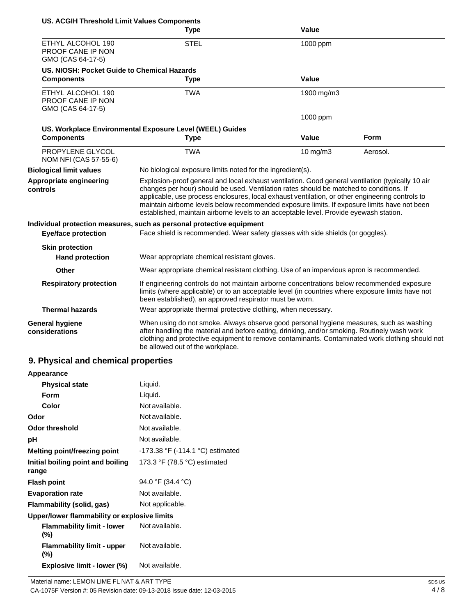| <b>US. ACGIH Threshold Limit Values Components</b>          |                                                                                                                                                                                                                                                                                                                                                                                                                                                                                           |              |             |
|-------------------------------------------------------------|-------------------------------------------------------------------------------------------------------------------------------------------------------------------------------------------------------------------------------------------------------------------------------------------------------------------------------------------------------------------------------------------------------------------------------------------------------------------------------------------|--------------|-------------|
|                                                             | <b>Type</b>                                                                                                                                                                                                                                                                                                                                                                                                                                                                               | <b>Value</b> |             |
| ETHYL ALCOHOL 190<br>PROOF CANE IP NON<br>GMO (CAS 64-17-5) | <b>STEL</b>                                                                                                                                                                                                                                                                                                                                                                                                                                                                               | 1000 ppm     |             |
| US. NIOSH: Pocket Guide to Chemical Hazards                 |                                                                                                                                                                                                                                                                                                                                                                                                                                                                                           |              |             |
| <b>Components</b>                                           | <b>Type</b>                                                                                                                                                                                                                                                                                                                                                                                                                                                                               | Value        |             |
| ETHYL ALCOHOL 190<br>PROOF CANE IP NON<br>GMO (CAS 64-17-5) | <b>TWA</b>                                                                                                                                                                                                                                                                                                                                                                                                                                                                                | 1900 mg/m3   |             |
|                                                             |                                                                                                                                                                                                                                                                                                                                                                                                                                                                                           | 1000 ppm     |             |
|                                                             | US. Workplace Environmental Exposure Level (WEEL) Guides                                                                                                                                                                                                                                                                                                                                                                                                                                  |              |             |
| <b>Components</b>                                           | <b>Type</b>                                                                                                                                                                                                                                                                                                                                                                                                                                                                               | <b>Value</b> | <b>Form</b> |
| PROPYLENE GLYCOL<br>NOM NFI (CAS 57-55-6)                   | <b>TWA</b>                                                                                                                                                                                                                                                                                                                                                                                                                                                                                | 10 mg/m3     | Aerosol.    |
| <b>Biological limit values</b>                              | No biological exposure limits noted for the ingredient(s).                                                                                                                                                                                                                                                                                                                                                                                                                                |              |             |
| Appropriate engineering<br>controls                         | Explosion-proof general and local exhaust ventilation. Good general ventilation (typically 10 air<br>changes per hour) should be used. Ventilation rates should be matched to conditions. If<br>applicable, use process enclosures, local exhaust ventilation, or other engineering controls to<br>maintain airborne levels below recommended exposure limits. If exposure limits have not been<br>established, maintain airborne levels to an acceptable level. Provide eyewash station. |              |             |
|                                                             | Individual protection measures, such as personal protective equipment                                                                                                                                                                                                                                                                                                                                                                                                                     |              |             |
| <b>Eye/face protection</b>                                  | Face shield is recommended. Wear safety glasses with side shields (or goggles).                                                                                                                                                                                                                                                                                                                                                                                                           |              |             |
| <b>Skin protection</b>                                      |                                                                                                                                                                                                                                                                                                                                                                                                                                                                                           |              |             |
| <b>Hand protection</b>                                      | Wear appropriate chemical resistant gloves.                                                                                                                                                                                                                                                                                                                                                                                                                                               |              |             |
| Other                                                       | Wear appropriate chemical resistant clothing. Use of an impervious apron is recommended.                                                                                                                                                                                                                                                                                                                                                                                                  |              |             |
| <b>Respiratory protection</b>                               | If engineering controls do not maintain airborne concentrations below recommended exposure<br>limits (where applicable) or to an acceptable level (in countries where exposure limits have not<br>been established), an approved respirator must be worn.                                                                                                                                                                                                                                 |              |             |
| <b>Thermal hazards</b>                                      | Wear appropriate thermal protective clothing, when necessary.                                                                                                                                                                                                                                                                                                                                                                                                                             |              |             |
| <b>General hygiene</b><br>considerations                    | When using do not smoke. Always observe good personal hygiene measures, such as washing<br>after handling the material and before eating, drinking, and/or smoking. Routinely wash work<br>clothing and protective equipment to remove contaminants. Contaminated work clothing should not<br>be allowed out of the workplace.                                                                                                                                                            |              |             |

# **9. Physical and chemical properties**

| Appearance                                   |                                  |
|----------------------------------------------|----------------------------------|
| <b>Physical state</b>                        | Liquid.                          |
| <b>Form</b>                                  | Liquid.                          |
| Color                                        | Not available.                   |
| Odor                                         | Not available.                   |
| <b>Odor threshold</b>                        | Not available.                   |
| рH                                           | Not available.                   |
| Melting point/freezing point                 | -173.38 °F (-114.1 °C) estimated |
| Initial boiling point and boiling<br>range   | 173.3 °F (78.5 °C) estimated     |
| <b>Flash point</b>                           | 94.0 °F (34.4 °C)                |
| <b>Evaporation rate</b>                      | Not available.                   |
| Flammability (solid, gas)                    | Not applicable.                  |
| Upper/lower flammability or explosive limits |                                  |
| <b>Flammability limit - lower</b><br>(%)     | Not available.                   |
| <b>Flammability limit - upper</b><br>(%)     | Not available.                   |
| Explosive limit - lower (%)                  | Not available.                   |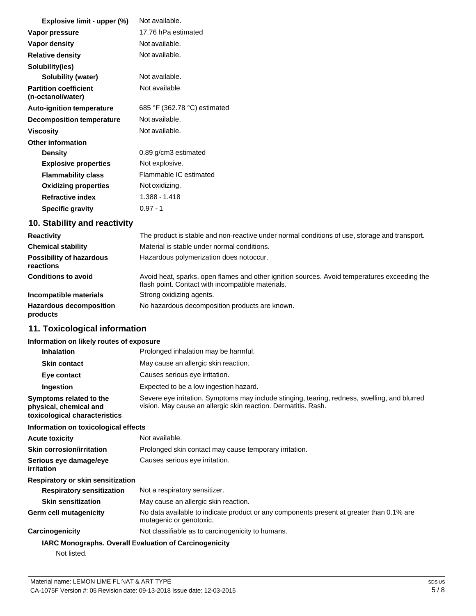| Explosive limit - upper (%)                       | Not available.               |
|---------------------------------------------------|------------------------------|
| Vapor pressure                                    | 17.76 hPa estimated          |
| Vapor density                                     | Not available.               |
| <b>Relative density</b>                           | Not available.               |
| Solubility(ies)                                   |                              |
| Solubility (water)                                | Not available.               |
| <b>Partition coefficient</b><br>(n-octanol/water) | Not available.               |
| <b>Auto-ignition temperature</b>                  | 685 °F (362.78 °C) estimated |
| <b>Decomposition temperature</b>                  | Not available.               |
| <b>Viscosity</b>                                  | Not available.               |
| <b>Other information</b>                          |                              |
| <b>Density</b>                                    | 0.89 g/cm3 estimated         |
| <b>Explosive properties</b>                       | Not explosive.               |
| <b>Flammability class</b>                         | Flammable IC estimated       |
| <b>Oxidizing properties</b>                       | Not oxidizing.               |
| <b>Refractive index</b>                           | 1.388 - 1.418                |
| <b>Specific gravity</b>                           | $0.97 - 1$                   |

### **10. Stability and reactivity**

| <b>Reactivity</b>                            | The product is stable and non-reactive under normal conditions of use, storage and transport.                                                     |
|----------------------------------------------|---------------------------------------------------------------------------------------------------------------------------------------------------|
| <b>Chemical stability</b>                    | Material is stable under normal conditions.                                                                                                       |
| <b>Possibility of hazardous</b><br>reactions | Hazardous polymerization does notoccur.                                                                                                           |
| <b>Conditions to avoid</b>                   | Avoid heat, sparks, open flames and other ignition sources. Avoid temperatures exceeding the<br>flash point. Contact with incompatible materials. |
| Incompatible materials                       | Strong oxidizing agents.                                                                                                                          |
| <b>Hazardous decomposition</b><br>products   | No hazardous decomposition products are known.                                                                                                    |

### **11. Toxicological information**

### **Information on likely routes of exposure**

| $\frac{1}{2}$ . The figure is the figure in the figure in the figure in the figure is the figure in the figure in the figure in the figure is a figure in the figure in the figure in the figure in the figure in the figure in t |                                                                                                                                                                 |
|-----------------------------------------------------------------------------------------------------------------------------------------------------------------------------------------------------------------------------------|-----------------------------------------------------------------------------------------------------------------------------------------------------------------|
| <b>Inhalation</b>                                                                                                                                                                                                                 | Prolonged inhalation may be harmful.                                                                                                                            |
| <b>Skin contact</b>                                                                                                                                                                                                               | May cause an allergic skin reaction.                                                                                                                            |
| Eye contact                                                                                                                                                                                                                       | Causes serious eye irritation.                                                                                                                                  |
| Ingestion                                                                                                                                                                                                                         | Expected to be a low ingestion hazard.                                                                                                                          |
| Symptoms related to the<br>physical, chemical and<br>toxicological characteristics                                                                                                                                                | Severe eye irritation. Symptoms may include stinging, tearing, redness, swelling, and blurred<br>vision. May cause an allergic skin reaction. Dermatitis. Rash. |
| Information on toxicological effects                                                                                                                                                                                              |                                                                                                                                                                 |
| Acute toxicity                                                                                                                                                                                                                    | Not available.                                                                                                                                                  |
| Skin corrosion/irritation                                                                                                                                                                                                         | Prolonged skin contact may cause temporary irritation.                                                                                                          |
| Serious eye damage/eye<br>irritation                                                                                                                                                                                              | Causes serious eye irritation.                                                                                                                                  |
| Respiratory or skin sensitization                                                                                                                                                                                                 |                                                                                                                                                                 |
| <b>Respiratory sensitization</b>                                                                                                                                                                                                  | Not a respiratory sensitizer.                                                                                                                                   |
| <b>Skin sensitization</b>                                                                                                                                                                                                         | May cause an allergic skin reaction.                                                                                                                            |
| Germ cell mutagenicity                                                                                                                                                                                                            | No data available to indicate product or any components present at greater than 0.1% are<br>mutagenic or genotoxic.                                             |
| Carcinogenicity                                                                                                                                                                                                                   | Not classifiable as to carcinogenicity to humans.                                                                                                               |
| <b>IARC Monographs. Overall Evaluation of Carcinogenicity</b>                                                                                                                                                                     |                                                                                                                                                                 |
| Not listed.                                                                                                                                                                                                                       |                                                                                                                                                                 |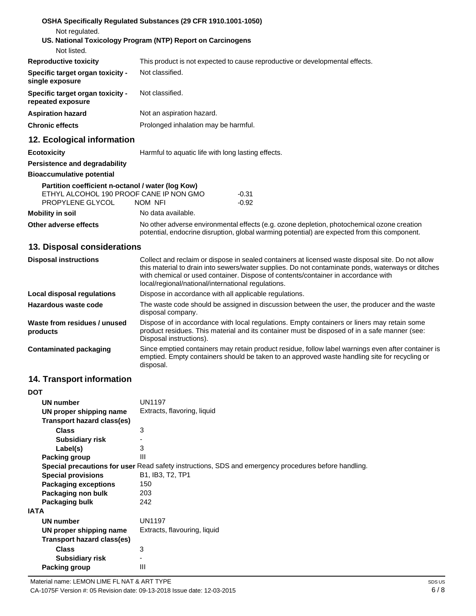|                                                                                                                  | OSHA Specifically Regulated Substances (29 CFR 1910.1001-1050)                                                                                                                             |
|------------------------------------------------------------------------------------------------------------------|--------------------------------------------------------------------------------------------------------------------------------------------------------------------------------------------|
| Not regulated.                                                                                                   |                                                                                                                                                                                            |
|                                                                                                                  | US. National Toxicology Program (NTP) Report on Carcinogens                                                                                                                                |
| Not listed.                                                                                                      |                                                                                                                                                                                            |
| <b>Reproductive toxicity</b>                                                                                     | This product is not expected to cause reproductive or developmental effects.                                                                                                               |
| Specific target organ toxicity -<br>single exposure                                                              | Not classified.                                                                                                                                                                            |
| Specific target organ toxicity -<br>repeated exposure                                                            | Not classified.                                                                                                                                                                            |
| <b>Aspiration hazard</b>                                                                                         | Not an aspiration hazard.                                                                                                                                                                  |
| <b>Chronic effects</b>                                                                                           | Prolonged inhalation may be harmful.                                                                                                                                                       |
| 12. Ecological information                                                                                       |                                                                                                                                                                                            |
| <b>Ecotoxicity</b>                                                                                               | Harmful to aquatic life with long lasting effects.                                                                                                                                         |
| Persistence and degradability                                                                                    |                                                                                                                                                                                            |
| <b>Bioaccumulative potential</b>                                                                                 |                                                                                                                                                                                            |
| Partition coefficient n-octanol / water (log Kow)<br>ETHYL ALCOHOL 190 PROOF CANE IP NON GMO<br>PROPYLENE GLYCOL | $-0.31$<br>NOM NFI<br>$-0.92$                                                                                                                                                              |
| <b>Mobility in soil</b>                                                                                          | No data available.                                                                                                                                                                         |
| Other adverse effects                                                                                            | No other adverse environmental effects (e.g. ozone depletion, photochemical ozone creation<br>potential, endocrine disruption, global warming potential) are expected from this component. |
| 13. Disposal considerations                                                                                      |                                                                                                                                                                                            |

| <b>Disposal instructions</b>             | Collect and reclaim or dispose in sealed containers at licensed waste disposal site. Do not allow<br>this material to drain into sewers/water supplies. Do not contaminate ponds, waterways or ditches<br>with chemical or used container. Dispose of contents/container in accordance with<br>local/regional/national/international regulations. |
|------------------------------------------|---------------------------------------------------------------------------------------------------------------------------------------------------------------------------------------------------------------------------------------------------------------------------------------------------------------------------------------------------|
| <b>Local disposal regulations</b>        | Dispose in accordance with all applicable regulations.                                                                                                                                                                                                                                                                                            |
| Hazardous waste code                     | The waste code should be assigned in discussion between the user, the producer and the waste<br>disposal company.                                                                                                                                                                                                                                 |
| Waste from residues / unused<br>products | Dispose of in accordance with local regulations. Empty containers or liners may retain some<br>product residues. This material and its container must be disposed of in a safe manner (see:<br>Disposal instructions).                                                                                                                            |
| <b>Contaminated packaging</b>            | Since emptied containers may retain product residue, follow label warnings even after container is<br>emptied. Empty containers should be taken to an approved waste handling site for recycling or<br>disposal.                                                                                                                                  |

## **14. Transport information**

| <b>UN1197</b><br>UN number<br>Extracts, flavoring, liquid<br>UN proper shipping name<br>Transport hazard class(es)<br>3<br><b>Class</b><br><b>Subsidiary risk</b><br>3<br>Label(s)<br>Ш<br>Packing group<br>Special precautions for user Read safety instructions, SDS and emergency procedures before handling.<br><b>B1, IB3, T2, TP1</b><br><b>Special provisions</b><br><b>Packaging exceptions</b><br>150<br>Packaging non bulk<br>203<br>Packaging bulk<br>242<br>IATA<br><b>UN1197</b><br><b>UN number</b> | <b>DOT</b>              |                              |
|-------------------------------------------------------------------------------------------------------------------------------------------------------------------------------------------------------------------------------------------------------------------------------------------------------------------------------------------------------------------------------------------------------------------------------------------------------------------------------------------------------------------|-------------------------|------------------------------|
|                                                                                                                                                                                                                                                                                                                                                                                                                                                                                                                   |                         |                              |
|                                                                                                                                                                                                                                                                                                                                                                                                                                                                                                                   |                         |                              |
|                                                                                                                                                                                                                                                                                                                                                                                                                                                                                                                   |                         |                              |
|                                                                                                                                                                                                                                                                                                                                                                                                                                                                                                                   |                         |                              |
|                                                                                                                                                                                                                                                                                                                                                                                                                                                                                                                   |                         |                              |
|                                                                                                                                                                                                                                                                                                                                                                                                                                                                                                                   |                         |                              |
|                                                                                                                                                                                                                                                                                                                                                                                                                                                                                                                   |                         |                              |
|                                                                                                                                                                                                                                                                                                                                                                                                                                                                                                                   |                         |                              |
|                                                                                                                                                                                                                                                                                                                                                                                                                                                                                                                   |                         |                              |
|                                                                                                                                                                                                                                                                                                                                                                                                                                                                                                                   |                         |                              |
|                                                                                                                                                                                                                                                                                                                                                                                                                                                                                                                   |                         |                              |
|                                                                                                                                                                                                                                                                                                                                                                                                                                                                                                                   |                         |                              |
|                                                                                                                                                                                                                                                                                                                                                                                                                                                                                                                   |                         |                              |
|                                                                                                                                                                                                                                                                                                                                                                                                                                                                                                                   |                         |                              |
|                                                                                                                                                                                                                                                                                                                                                                                                                                                                                                                   | UN proper shipping name | Extracts, flavouring, liquid |
| Transport hazard class(es)                                                                                                                                                                                                                                                                                                                                                                                                                                                                                        |                         |                              |
| 3<br><b>Class</b>                                                                                                                                                                                                                                                                                                                                                                                                                                                                                                 |                         |                              |
| Subsidiary risk<br>-                                                                                                                                                                                                                                                                                                                                                                                                                                                                                              |                         |                              |
| Ш<br>Packing group                                                                                                                                                                                                                                                                                                                                                                                                                                                                                                |                         |                              |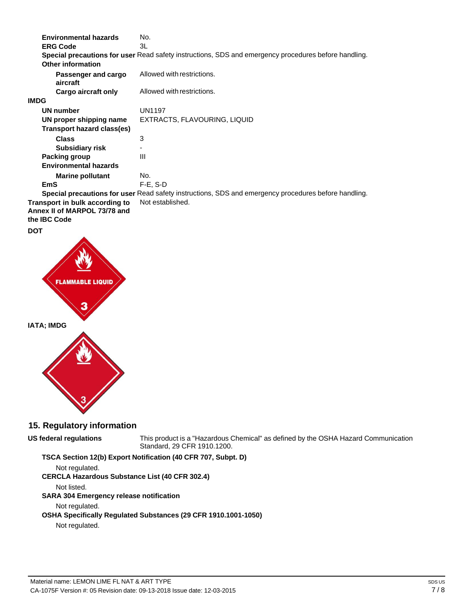| <b>Environmental hazards</b>                                                   | No.                                                                                                  |
|--------------------------------------------------------------------------------|------------------------------------------------------------------------------------------------------|
| <b>ERG Code</b>                                                                | 3L                                                                                                   |
|                                                                                | Special precautions for user Read safety instructions, SDS and emergency procedures before handling. |
| Other information                                                              |                                                                                                      |
| Passenger and cargo<br>aircraft                                                | Allowed with restrictions.                                                                           |
| Cargo aircraft only                                                            | Allowed with restrictions.                                                                           |
| <b>IMDG</b>                                                                    |                                                                                                      |
| <b>UN number</b>                                                               | <b>UN1197</b>                                                                                        |
| UN proper shipping name                                                        | EXTRACTS, FLAVOURING, LIQUID                                                                         |
| <b>Transport hazard class(es)</b>                                              |                                                                                                      |
| <b>Class</b>                                                                   | 3                                                                                                    |
| <b>Subsidiary risk</b>                                                         |                                                                                                      |
| Packing group                                                                  | Ш                                                                                                    |
| <b>Environmental hazards</b>                                                   |                                                                                                      |
| <b>Marine pollutant</b>                                                        | No.                                                                                                  |
| <b>EmS</b>                                                                     | $F-E$ , S-D                                                                                          |
|                                                                                | Special precautions for user Read safety instructions, SDS and emergency procedures before handling. |
| Transport in bulk according to<br>Annex II of MARPOL 73/78 and<br>the IBC Code | Not established.                                                                                     |





### **15. Regulatory information**

#### **US federal regulations**

This product is a "Hazardous Chemical" as defined by the OSHA Hazard Communication Standard, 29 CFR 1910.1200.

#### **TSCA Section 12(b) Export Notification (40 CFR 707, Subpt. D)**

Not regulated. **CERCLA Hazardous Substance List (40 CFR 302.4)** Not listed. **SARA 304 Emergency release notification** Not regulated. **OSHA Specifically Regulated Substances (29 CFR 1910.1001-1050)** Not regulated.